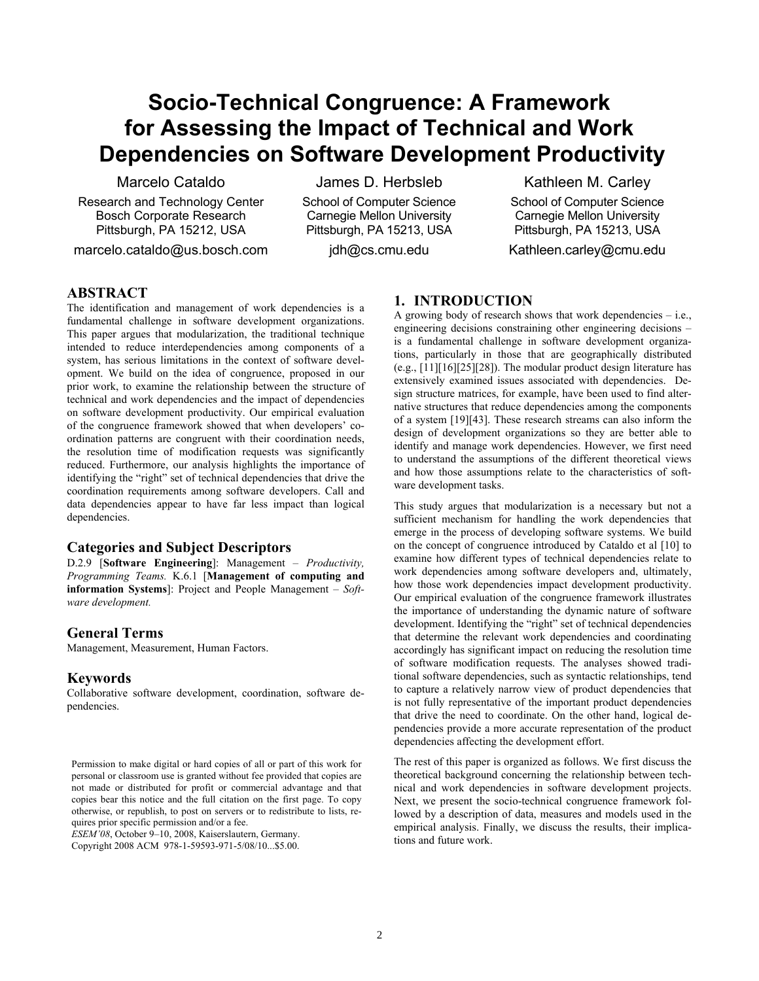# **Socio-Technical Congruence: A Framework for Assessing the Impact of Technical and Work Dependencies on Software Development Productivity**

Marcelo Cataldo

Research and Technology Center Bosch Corporate Research Pittsburgh, PA 15212, USA

marcelo.cataldo@us.bosch.com

James D. Herbsleb School of Computer Science Carnegie Mellon University Pittsburgh, PA 15213, USA

jdh@cs.cmu.edu

Kathleen M. Carley School of Computer Science Carnegie Mellon University Pittsburgh, PA 15213, USA Kathleen.carley@cmu.edu

# **ABSTRACT**

The identification and management of work dependencies is a fundamental challenge in software development organizations. This paper argues that modularization, the traditional technique intended to reduce interdependencies among components of a system, has serious limitations in the context of software development. We build on the idea of congruence, proposed in our prior work, to examine the relationship between the structure of technical and work dependencies and the impact of dependencies on software development productivity. Our empirical evaluation of the congruence framework showed that when developers' coordination patterns are congruent with their coordination needs, the resolution time of modification requests was significantly reduced. Furthermore, our analysis highlights the importance of identifying the "right" set of technical dependencies that drive the coordination requirements among software developers. Call and data dependencies appear to have far less impact than logical dependencies.

## **Categories and Subject Descriptors**

D.2.9 [**Software Engineering**]: Management – *Productivity, Programming Teams.* K.6.1 [**Management of computing and information Systems**]: Project and People Management – *Software development.* 

# **General Terms**

Management, Measurement, Human Factors.

# **Keywords**

Collaborative software development, coordination, software dependencies.

*ESEM'08*, October 9–10, 2008, Kaiserslautern, Germany.

Copyright 2008 ACM 978-1-59593-971-5/08/10...\$5.00.

# **1. INTRODUCTION**

A growing body of research shows that work dependencies  $-$  i.e., engineering decisions constraining other engineering decisions – is a fundamental challenge in software development organizations, particularly in those that are geographically distributed (e.g., [11][16][25][28]). The modular product design literature has extensively examined issues associated with dependencies. Design structure matrices, for example, have been used to find alternative structures that reduce dependencies among the components of a system [19][43]. These research streams can also inform the design of development organizations so they are better able to identify and manage work dependencies. However, we first need to understand the assumptions of the different theoretical views and how those assumptions relate to the characteristics of software development tasks.

This study argues that modularization is a necessary but not a sufficient mechanism for handling the work dependencies that emerge in the process of developing software systems. We build on the concept of congruence introduced by Cataldo et al [10] to examine how different types of technical dependencies relate to work dependencies among software developers and, ultimately, how those work dependencies impact development productivity. Our empirical evaluation of the congruence framework illustrates the importance of understanding the dynamic nature of software development. Identifying the "right" set of technical dependencies that determine the relevant work dependencies and coordinating accordingly has significant impact on reducing the resolution time of software modification requests. The analyses showed traditional software dependencies, such as syntactic relationships, tend to capture a relatively narrow view of product dependencies that is not fully representative of the important product dependencies that drive the need to coordinate. On the other hand, logical dependencies provide a more accurate representation of the product dependencies affecting the development effort.

The rest of this paper is organized as follows. We first discuss the theoretical background concerning the relationship between technical and work dependencies in software development projects. Next, we present the socio-technical congruence framework followed by a description of data, measures and models used in the empirical analysis. Finally, we discuss the results, their implications and future work.

Permission to make digital or hard copies of all or part of this work for personal or classroom use is granted without fee provided that copies are not made or distributed for profit or commercial advantage and that copies bear this notice and the full citation on the first page. To copy otherwise, or republish, to post on servers or to redistribute to lists, requires prior specific permission and/or a fee.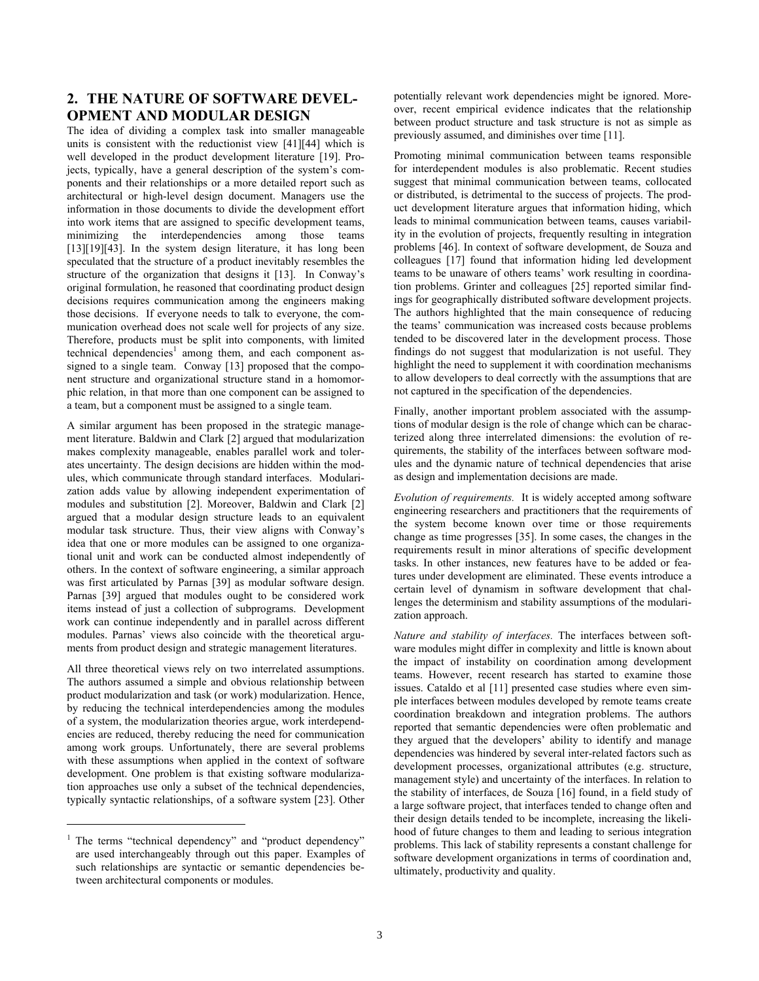# **2. THE NATURE OF SOFTWARE DEVEL-OPMENT AND MODULAR DESIGN**

The idea of dividing a complex task into smaller manageable units is consistent with the reductionist view [41][44] which is well developed in the product development literature [19]. Projects, typically, have a general description of the system's components and their relationships or a more detailed report such as architectural or high-level design document. Managers use the information in those documents to divide the development effort into work items that are assigned to specific development teams, minimizing the interdependencies among those teams [13][19][43]. In the system design literature, it has long been speculated that the structure of a product inevitably resembles the structure of the organization that designs it [13]. In Conway's original formulation, he reasoned that coordinating product design decisions requires communication among the engineers making those decisions. If everyone needs to talk to everyone, the communication overhead does not scale well for projects of any size. Therefore, products must be split into components, with limited technical dependencies<sup>1</sup> among them, and each component assigned to a single team. Conway [13] proposed that the component structure and organizational structure stand in a homomorphic relation, in that more than one component can be assigned to a team, but a component must be assigned to a single team.

A similar argument has been proposed in the strategic management literature. Baldwin and Clark [2] argued that modularization makes complexity manageable, enables parallel work and tolerates uncertainty. The design decisions are hidden within the modules, which communicate through standard interfaces. Modularization adds value by allowing independent experimentation of modules and substitution [2]. Moreover, Baldwin and Clark [2] argued that a modular design structure leads to an equivalent modular task structure. Thus, their view aligns with Conway's idea that one or more modules can be assigned to one organizational unit and work can be conducted almost independently of others. In the context of software engineering, a similar approach was first articulated by Parnas [39] as modular software design. Parnas [39] argued that modules ought to be considered work items instead of just a collection of subprograms. Development work can continue independently and in parallel across different modules. Parnas' views also coincide with the theoretical arguments from product design and strategic management literatures.

All three theoretical views rely on two interrelated assumptions. The authors assumed a simple and obvious relationship between product modularization and task (or work) modularization. Hence, by reducing the technical interdependencies among the modules of a system, the modularization theories argue, work interdependencies are reduced, thereby reducing the need for communication among work groups. Unfortunately, there are several problems with these assumptions when applied in the context of software development. One problem is that existing software modularization approaches use only a subset of the technical dependencies, typically syntactic relationships, of a software system [23]. Other

 $\overline{a}$ 

potentially relevant work dependencies might be ignored. Moreover, recent empirical evidence indicates that the relationship between product structure and task structure is not as simple as previously assumed, and diminishes over time [11].

Promoting minimal communication between teams responsible for interdependent modules is also problematic. Recent studies suggest that minimal communication between teams, collocated or distributed, is detrimental to the success of projects. The product development literature argues that information hiding, which leads to minimal communication between teams, causes variability in the evolution of projects, frequently resulting in integration problems [46]. In context of software development, de Souza and colleagues [17] found that information hiding led development teams to be unaware of others teams' work resulting in coordination problems. Grinter and colleagues [25] reported similar findings for geographically distributed software development projects. The authors highlighted that the main consequence of reducing the teams' communication was increased costs because problems tended to be discovered later in the development process. Those findings do not suggest that modularization is not useful. They highlight the need to supplement it with coordination mechanisms to allow developers to deal correctly with the assumptions that are not captured in the specification of the dependencies.

Finally, another important problem associated with the assumptions of modular design is the role of change which can be characterized along three interrelated dimensions: the evolution of requirements, the stability of the interfaces between software modules and the dynamic nature of technical dependencies that arise as design and implementation decisions are made.

*Evolution of requirements.* It is widely accepted among software engineering researchers and practitioners that the requirements of the system become known over time or those requirements change as time progresses [35]. In some cases, the changes in the requirements result in minor alterations of specific development tasks. In other instances, new features have to be added or features under development are eliminated. These events introduce a certain level of dynamism in software development that challenges the determinism and stability assumptions of the modularization approach.

*Nature and stability of interfaces.* The interfaces between software modules might differ in complexity and little is known about the impact of instability on coordination among development teams. However, recent research has started to examine those issues. Cataldo et al [11] presented case studies where even simple interfaces between modules developed by remote teams create coordination breakdown and integration problems. The authors reported that semantic dependencies were often problematic and they argued that the developers' ability to identify and manage dependencies was hindered by several inter-related factors such as development processes, organizational attributes (e.g. structure, management style) and uncertainty of the interfaces. In relation to the stability of interfaces, de Souza [16] found, in a field study of a large software project, that interfaces tended to change often and their design details tended to be incomplete, increasing the likelihood of future changes to them and leading to serious integration problems. This lack of stability represents a constant challenge for software development organizations in terms of coordination and, ultimately, productivity and quality.

<sup>1</sup> The terms "technical dependency" and "product dependency" are used interchangeably through out this paper. Examples of such relationships are syntactic or semantic dependencies between architectural components or modules.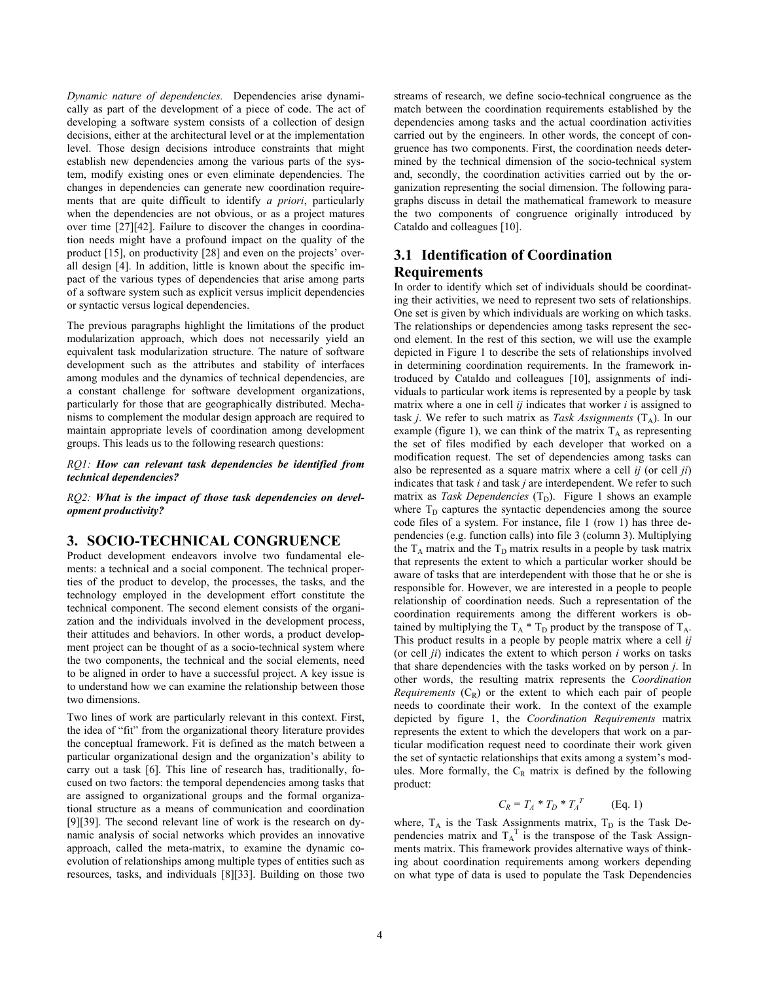*Dynamic nature of dependencies.* Dependencies arise dynamically as part of the development of a piece of code. The act of developing a software system consists of a collection of design decisions, either at the architectural level or at the implementation level. Those design decisions introduce constraints that might establish new dependencies among the various parts of the system, modify existing ones or even eliminate dependencies. The changes in dependencies can generate new coordination requirements that are quite difficult to identify *a priori*, particularly when the dependencies are not obvious, or as a project matures over time [27][42]. Failure to discover the changes in coordination needs might have a profound impact on the quality of the product [15], on productivity [28] and even on the projects' overall design [4]. In addition, little is known about the specific impact of the various types of dependencies that arise among parts of a software system such as explicit versus implicit dependencies or syntactic versus logical dependencies.

The previous paragraphs highlight the limitations of the product modularization approach, which does not necessarily yield an equivalent task modularization structure. The nature of software development such as the attributes and stability of interfaces among modules and the dynamics of technical dependencies, are a constant challenge for software development organizations, particularly for those that are geographically distributed. Mechanisms to complement the modular design approach are required to maintain appropriate levels of coordination among development groups. This leads us to the following research questions:

#### *RQ1: How can relevant task dependencies be identified from technical dependencies?*

*RQ2: What is the impact of those task dependencies on development productivity?*

#### **3. SOCIO-TECHNICAL CONGRUENCE**

Product development endeavors involve two fundamental elements: a technical and a social component. The technical properties of the product to develop, the processes, the tasks, and the technology employed in the development effort constitute the technical component. The second element consists of the organization and the individuals involved in the development process, their attitudes and behaviors. In other words, a product development project can be thought of as a socio-technical system where the two components, the technical and the social elements, need to be aligned in order to have a successful project. A key issue is to understand how we can examine the relationship between those two dimensions.

Two lines of work are particularly relevant in this context. First, the idea of "fit" from the organizational theory literature provides the conceptual framework. Fit is defined as the match between a particular organizational design and the organization's ability to carry out a task [6]. This line of research has, traditionally, focused on two factors: the temporal dependencies among tasks that are assigned to organizational groups and the formal organizational structure as a means of communication and coordination [9][39]. The second relevant line of work is the research on dynamic analysis of social networks which provides an innovative approach, called the meta-matrix, to examine the dynamic coevolution of relationships among multiple types of entities such as resources, tasks, and individuals [8][33]. Building on those two streams of research, we define socio-technical congruence as the match between the coordination requirements established by the dependencies among tasks and the actual coordination activities carried out by the engineers. In other words, the concept of congruence has two components. First, the coordination needs determined by the technical dimension of the socio-technical system and, secondly, the coordination activities carried out by the organization representing the social dimension. The following paragraphs discuss in detail the mathematical framework to measure the two components of congruence originally introduced by Cataldo and colleagues [10].

# **3.1 Identification of Coordination Requirements**

In order to identify which set of individuals should be coordinating their activities, we need to represent two sets of relationships. One set is given by which individuals are working on which tasks. The relationships or dependencies among tasks represent the second element. In the rest of this section, we will use the example depicted in Figure 1 to describe the sets of relationships involved in determining coordination requirements. In the framework introduced by Cataldo and colleagues [10], assignments of individuals to particular work items is represented by a people by task matrix where a one in cell *ij* indicates that worker *i* is assigned to task *j*. We refer to such matrix as *Task Assignments*  $(T_A)$ . In our example (figure 1), we can think of the matrix  $T_A$  as representing the set of files modified by each developer that worked on a modification request. The set of dependencies among tasks can also be represented as a square matrix where a cell *ij* (or cell *ji*) indicates that task *i* and task *j* are interdependent. We refer to such matrix as *Task Dependencies* ( $T<sub>D</sub>$ ). Figure 1 shows an example where  $T_D$  captures the syntactic dependencies among the source code files of a system. For instance, file 1 (row 1) has three dependencies (e.g. function calls) into file 3 (column 3). Multiplying the  $T_A$  matrix and the  $T_D$  matrix results in a people by task matrix that represents the extent to which a particular worker should be aware of tasks that are interdependent with those that he or she is responsible for. However, we are interested in a people to people relationship of coordination needs. Such a representation of the coordination requirements among the different workers is obtained by multiplying the  $T_A$ <sup>\*</sup>  $T_D$  product by the transpose of  $T_A$ . This product results in a people by people matrix where a cell *ij* (or cell *ji*) indicates the extent to which person *i* works on tasks that share dependencies with the tasks worked on by person *j*. In other words, the resulting matrix represents the *Coordination Requirements*  $(C_R)$  or the extent to which each pair of people needs to coordinate their work. In the context of the example depicted by figure 1, the *Coordination Requirements* matrix represents the extent to which the developers that work on a particular modification request need to coordinate their work given the set of syntactic relationships that exits among a system's modules. More formally, the  $C_R$  matrix is defined by the following product:

$$
C_R = T_A * T_D * T_A^T
$$
 (Eq. 1)

where,  $T_A$  is the Task Assignments matrix,  $T_D$  is the Task Dependencies matrix and  $T_A^T$  is the transpose of the Task Assignments matrix. This framework provides alternative ways of thinking about coordination requirements among workers depending on what type of data is used to populate the Task Dependencies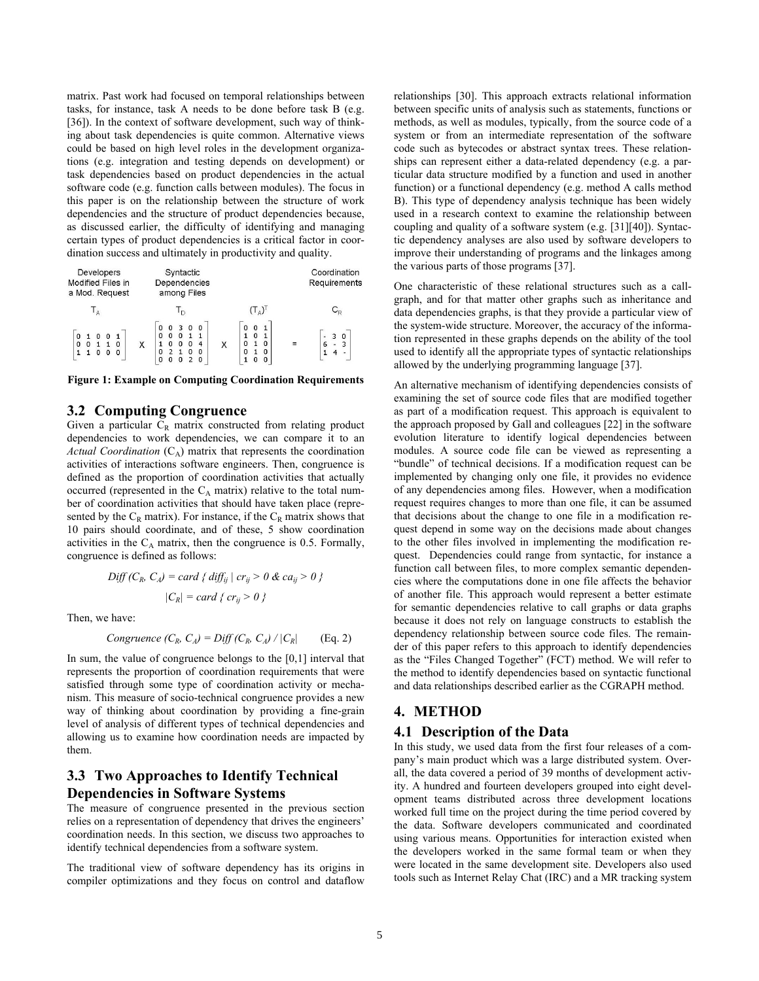matrix. Past work had focused on temporal relationships between tasks, for instance, task A needs to be done before task B (e.g. [36]). In the context of software development, such way of thinking about task dependencies is quite common. Alternative views could be based on high level roles in the development organizations (e.g. integration and testing depends on development) or task dependencies based on product dependencies in the actual software code (e.g. function calls between modules). The focus in this paper is on the relationship between the structure of work dependencies and the structure of product dependencies because, as discussed earlier, the difficulty of identifying and managing certain types of product dependencies is a critical factor in coordination success and ultimately in productivity and quality.

| Developers<br>Modified Files in<br>a Mod. Request                  | Syntactic<br>Dependencies<br>among Files                                                                                                         |                                                                           | Coordination<br>Requirements                            |
|--------------------------------------------------------------------|--------------------------------------------------------------------------------------------------------------------------------------------------|---------------------------------------------------------------------------|---------------------------------------------------------|
| $T_A$                                                              | $\mathsf{T}_{\mathsf{P}}$                                                                                                                        | $(T_A)^{T}$                                                               | $\mathtt{C_{R}}$                                        |
| 1<br>$\Omega$<br>0<br>n<br>1<br>0<br>$\mathbf{1}$<br>$\Omega$<br>0 | 0<br>O<br>$\Omega$<br>1.<br>n<br>1<br>$\Omega$<br>X<br>0<br>n<br>$\overline{4}$<br>n<br>0<br>n<br>$\overline{ }$<br>0<br>2<br>$\Omega$<br>o<br>0 | 0<br>0<br>$\Omega$<br>X<br>$\Omega$<br>1.<br>0<br>0<br>0<br>$\Omega$<br>0 | 3<br>0<br>3<br>6<br>$\overline{\phantom{a}}$<br>4<br>×. |

**Figure 1: Example on Computing Coordination Requirements** 

#### **3.2 Computing Congruence**

Given a particular  $C_R$  matrix constructed from relating product dependencies to work dependencies, we can compare it to an *Actual Coordination*  $(C_A)$  matrix that represents the coordination activities of interactions software engineers. Then, congruence is defined as the proportion of coordination activities that actually occurred (represented in the  $C_A$  matrix) relative to the total number of coordination activities that should have taken place (represented by the  $C_R$  matrix). For instance, if the  $C_R$  matrix shows that 10 pairs should coordinate, and of these, 5 show coordination activities in the  $C_A$  matrix, then the congruence is 0.5. Formally, congruence is defined as follows:

$$
Diff(C_R, C_A) = card \{ diff_{ij} \mid cr_{ij} > 0 \& ca_{ij} > 0 \}
$$

$$
|C_R| = card \{ cr_{ij} > 0 \}
$$

Then, we have:

$$
Congruence (C_R, C_A) = Diff(C_R, C_A) / |C_R| \qquad (Eq. 2)
$$

In sum, the value of congruence belongs to the  $[0,1]$  interval that represents the proportion of coordination requirements that were satisfied through some type of coordination activity or mechanism. This measure of socio-technical congruence provides a new way of thinking about coordination by providing a fine-grain level of analysis of different types of technical dependencies and allowing us to examine how coordination needs are impacted by them.

# **3.3 Two Approaches to Identify Technical Dependencies in Software Systems**

The measure of congruence presented in the previous section relies on a representation of dependency that drives the engineers' coordination needs. In this section, we discuss two approaches to identify technical dependencies from a software system.

The traditional view of software dependency has its origins in compiler optimizations and they focus on control and dataflow relationships [30]. This approach extracts relational information between specific units of analysis such as statements, functions or methods, as well as modules, typically, from the source code of a system or from an intermediate representation of the software code such as bytecodes or abstract syntax trees. These relationships can represent either a data-related dependency (e.g. a particular data structure modified by a function and used in another function) or a functional dependency (e.g. method A calls method B). This type of dependency analysis technique has been widely used in a research context to examine the relationship between coupling and quality of a software system (e.g. [31][40]). Syntactic dependency analyses are also used by software developers to improve their understanding of programs and the linkages among the various parts of those programs [37].

One characteristic of these relational structures such as a callgraph, and for that matter other graphs such as inheritance and data dependencies graphs, is that they provide a particular view of the system-wide structure. Moreover, the accuracy of the information represented in these graphs depends on the ability of the tool used to identify all the appropriate types of syntactic relationships allowed by the underlying programming language [37].

An alternative mechanism of identifying dependencies consists of examining the set of source code files that are modified together as part of a modification request. This approach is equivalent to the approach proposed by Gall and colleagues [22] in the software evolution literature to identify logical dependencies between modules. A source code file can be viewed as representing a "bundle" of technical decisions. If a modification request can be implemented by changing only one file, it provides no evidence of any dependencies among files. However, when a modification request requires changes to more than one file, it can be assumed that decisions about the change to one file in a modification request depend in some way on the decisions made about changes to the other files involved in implementing the modification request. Dependencies could range from syntactic, for instance a function call between files, to more complex semantic dependencies where the computations done in one file affects the behavior of another file. This approach would represent a better estimate for semantic dependencies relative to call graphs or data graphs because it does not rely on language constructs to establish the dependency relationship between source code files. The remainder of this paper refers to this approach to identify dependencies as the "Files Changed Together" (FCT) method. We will refer to the method to identify dependencies based on syntactic functional and data relationships described earlier as the CGRAPH method.

## **4. METHOD**

#### **4.1 Description of the Data**

In this study, we used data from the first four releases of a company's main product which was a large distributed system. Overall, the data covered a period of 39 months of development activity. A hundred and fourteen developers grouped into eight development teams distributed across three development locations worked full time on the project during the time period covered by the data. Software developers communicated and coordinated using various means. Opportunities for interaction existed when the developers worked in the same formal team or when they were located in the same development site. Developers also used tools such as Internet Relay Chat (IRC) and a MR tracking system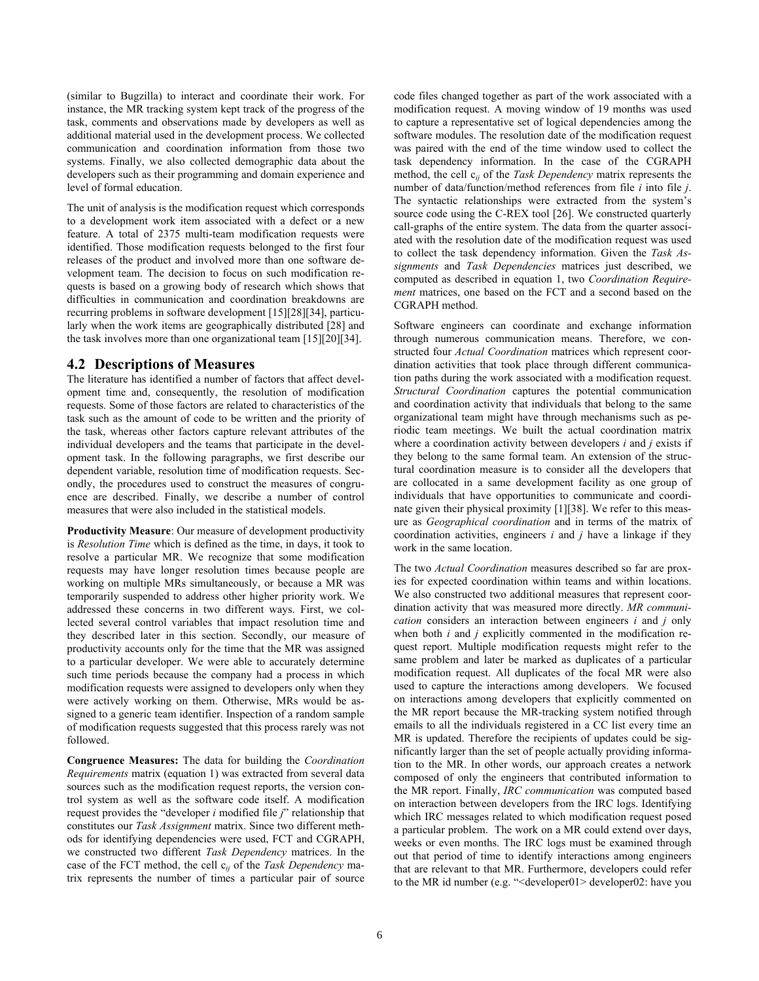(similar to Bugzilla) to interact and coordinate their work. For instance, the MR tracking system kept track of the progress of the task, comments and observations made by developers as well as additional material used in the development process. We collected communication and coordination information from those two systems. Finally, we also collected demographic data about the developers such as their programming and domain experience and level of formal education.

The unit of analysis is the modification request which corresponds to a development work item associated with a defect or a new feature. A total of 2375 multi-team modification requests were identified. Those modification requests belonged to the first four releases of the product and involved more than one software development team. The decision to focus on such modification requests is based on a growing body of research which shows that difficulties in communication and coordination breakdowns are recurring problems in software development [15][28][34], particularly when the work items are geographically distributed [28] and the task involves more than one organizational team [15][20][34].

## **4.2 Descriptions of Measures**

The literature has identified a number of factors that affect development time and, consequently, the resolution of modification requests. Some of those factors are related to characteristics of the task such as the amount of code to be written and the priority of the task, whereas other factors capture relevant attributes of the individual developers and the teams that participate in the development task. In the following paragraphs, we first describe our dependent variable, resolution time of modification requests. Secondly, the procedures used to construct the measures of congruence are described. Finally, we describe a number of control measures that were also included in the statistical models.

**Productivity Measure**: Our measure of development productivity is *Resolution Time* which is defined as the time, in days, it took to resolve a particular MR. We recognize that some modification requests may have longer resolution times because people are working on multiple MRs simultaneously, or because a MR was temporarily suspended to address other higher priority work. We addressed these concerns in two different ways. First, we collected several control variables that impact resolution time and they described later in this section. Secondly, our measure of productivity accounts only for the time that the MR was assigned to a particular developer. We were able to accurately determine such time periods because the company had a process in which modification requests were assigned to developers only when they were actively working on them. Otherwise, MRs would be assigned to a generic team identifier. Inspection of a random sample of modification requests suggested that this process rarely was not followed.

**Congruence Measures:** The data for building the *Coordination Requirements* matrix (equation 1) was extracted from several data sources such as the modification request reports, the version control system as well as the software code itself. A modification request provides the "developer *i* modified file *j*" relationship that constitutes our *Task Assignment* matrix. Since two different methods for identifying dependencies were used, FCT and CGRAPH, we constructed two different *Task Dependency* matrices. In the case of the FCT method, the cell c*ij* of the *Task Dependency* matrix represents the number of times a particular pair of source code files changed together as part of the work associated with a modification request. A moving window of 19 months was used to capture a representative set of logical dependencies among the software modules. The resolution date of the modification request was paired with the end of the time window used to collect the task dependency information. In the case of the CGRAPH method, the cell c*ij* of the *Task Dependency* matrix represents the number of data/function/method references from file *i* into file *j*. The syntactic relationships were extracted from the system's source code using the C-REX tool [26]. We constructed quarterly call-graphs of the entire system. The data from the quarter associated with the resolution date of the modification request was used to collect the task dependency information. Given the *Task Assignments* and *Task Dependencies* matrices just described, we computed as described in equation 1, two *Coordination Requirement* matrices, one based on the FCT and a second based on the CGRAPH method.

Software engineers can coordinate and exchange information through numerous communication means. Therefore, we constructed four *Actual Coordination* matrices which represent coordination activities that took place through different communication paths during the work associated with a modification request. *Structural Coordination* captures the potential communication and coordination activity that individuals that belong to the same organizational team might have through mechanisms such as periodic team meetings. We built the actual coordination matrix where a coordination activity between developers *i* and *j* exists if they belong to the same formal team. An extension of the structural coordination measure is to consider all the developers that are collocated in a same development facility as one group of individuals that have opportunities to communicate and coordinate given their physical proximity [1][38]. We refer to this measure as *Geographical coordination* and in terms of the matrix of coordination activities, engineers *i* and *j* have a linkage if they work in the same location.

The two *Actual Coordination* measures described so far are proxies for expected coordination within teams and within locations. We also constructed two additional measures that represent coordination activity that was measured more directly. *MR communication* considers an interaction between engineers *i* and *j* only when both *i* and *j* explicitly commented in the modification request report. Multiple modification requests might refer to the same problem and later be marked as duplicates of a particular modification request. All duplicates of the focal MR were also used to capture the interactions among developers. We focused on interactions among developers that explicitly commented on the MR report because the MR-tracking system notified through emails to all the individuals registered in a CC list every time an MR is updated. Therefore the recipients of updates could be significantly larger than the set of people actually providing information to the MR. In other words, our approach creates a network composed of only the engineers that contributed information to the MR report. Finally, *IRC communication* was computed based on interaction between developers from the IRC logs. Identifying which IRC messages related to which modification request posed a particular problem. The work on a MR could extend over days, weeks or even months. The IRC logs must be examined through out that period of time to identify interactions among engineers that are relevant to that MR. Furthermore, developers could refer to the MR id number (e.g. "<developer01> developer02: have you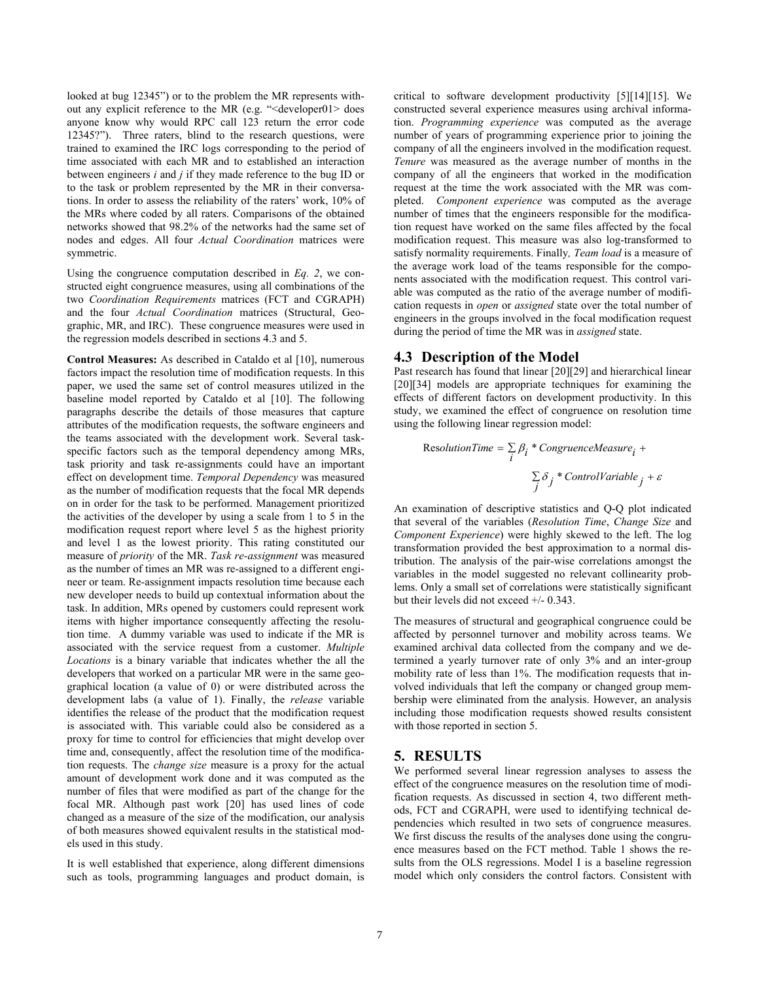looked at bug 12345") or to the problem the MR represents without any explicit reference to the MR (e.g. "<developer01> does anyone know why would RPC call 123 return the error code 12345?"). Three raters, blind to the research questions, were trained to examined the IRC logs corresponding to the period of time associated with each MR and to established an interaction between engineers *i* and *j* if they made reference to the bug ID or to the task or problem represented by the MR in their conversations. In order to assess the reliability of the raters' work, 10% of the MRs where coded by all raters. Comparisons of the obtained networks showed that 98.2% of the networks had the same set of nodes and edges. All four *Actual Coordination* matrices were symmetric.

Using the congruence computation described in *Eq. 2*, we constructed eight congruence measures, using all combinations of the two *Coordination Requirements* matrices (FCT and CGRAPH) and the four *Actual Coordination* matrices (Structural, Geographic, MR, and IRC). These congruence measures were used in the regression models described in sections 4.3 and 5.

**Control Measures:** As described in Cataldo et al [10], numerous factors impact the resolution time of modification requests. In this paper, we used the same set of control measures utilized in the baseline model reported by Cataldo et al [10]. The following paragraphs describe the details of those measures that capture attributes of the modification requests, the software engineers and the teams associated with the development work. Several taskspecific factors such as the temporal dependency among MRs, task priority and task re-assignments could have an important effect on development time. *Temporal Dependency* was measured as the number of modification requests that the focal MR depends on in order for the task to be performed. Management prioritized the activities of the developer by using a scale from 1 to 5 in the modification request report where level 5 as the highest priority and level 1 as the lowest priority. This rating constituted our measure of *priority* of the MR. *Task re-assignment* was measured as the number of times an MR was re-assigned to a different engineer or team. Re-assignment impacts resolution time because each new developer needs to build up contextual information about the task. In addition, MRs opened by customers could represent work items with higher importance consequently affecting the resolution time. A dummy variable was used to indicate if the MR is associated with the service request from a customer. *Multiple Locations* is a binary variable that indicates whether the all the developers that worked on a particular MR were in the same geographical location (a value of 0) or were distributed across the development labs (a value of 1). Finally, the *release* variable identifies the release of the product that the modification request is associated with. This variable could also be considered as a proxy for time to control for efficiencies that might develop over time and, consequently, affect the resolution time of the modification requests. The *change size* measure is a proxy for the actual amount of development work done and it was computed as the number of files that were modified as part of the change for the focal MR. Although past work [20] has used lines of code changed as a measure of the size of the modification, our analysis of both measures showed equivalent results in the statistical models used in this study.

It is well established that experience, along different dimensions such as tools, programming languages and product domain, is

critical to software development productivity [5][14][15]. We constructed several experience measures using archival information. *Programming experience* was computed as the average number of years of programming experience prior to joining the company of all the engineers involved in the modification request. *Tenure* was measured as the average number of months in the company of all the engineers that worked in the modification request at the time the work associated with the MR was completed. *Component experience* was computed as the average number of times that the engineers responsible for the modification request have worked on the same files affected by the focal modification request. This measure was also log-transformed to satisfy normality requirements. Finally*, Team load* is a measure of the average work load of the teams responsible for the components associated with the modification request. This control variable was computed as the ratio of the average number of modification requests in *open* or *assigned* state over the total number of engineers in the groups involved in the focal modification request during the period of time the MR was in *assigned* state.

## **4.3 Description of the Model**

Past research has found that linear [20][29] and hierarchical linear [20][34] models are appropriate techniques for examining the effects of different factors on development productivity. In this study, we examined the effect of congruence on resolution time using the following linear regression model:

ResolutionTime = 
$$
\sum_{i} \beta_i * CongruenceMeasure_i +
$$
  
 $\sum_{j} \delta_j * ControlVariable_j + \varepsilon$ 

An examination of descriptive statistics and Q-Q plot indicated that several of the variables (*Resolution Time*, *Change Size* and *Component Experience*) were highly skewed to the left. The log transformation provided the best approximation to a normal distribution. The analysis of the pair-wise correlations amongst the variables in the model suggested no relevant collinearity problems. Only a small set of correlations were statistically significant but their levels did not exceed +/- 0.343.

The measures of structural and geographical congruence could be affected by personnel turnover and mobility across teams. We examined archival data collected from the company and we determined a yearly turnover rate of only 3% and an inter-group mobility rate of less than 1%. The modification requests that involved individuals that left the company or changed group membership were eliminated from the analysis. However, an analysis including those modification requests showed results consistent with those reported in section 5.

## **5. RESULTS**

We performed several linear regression analyses to assess the effect of the congruence measures on the resolution time of modification requests. As discussed in section 4, two different methods, FCT and CGRAPH, were used to identifying technical dependencies which resulted in two sets of congruence measures. We first discuss the results of the analyses done using the congruence measures based on the FCT method. Table 1 shows the results from the OLS regressions. Model I is a baseline regression model which only considers the control factors. Consistent with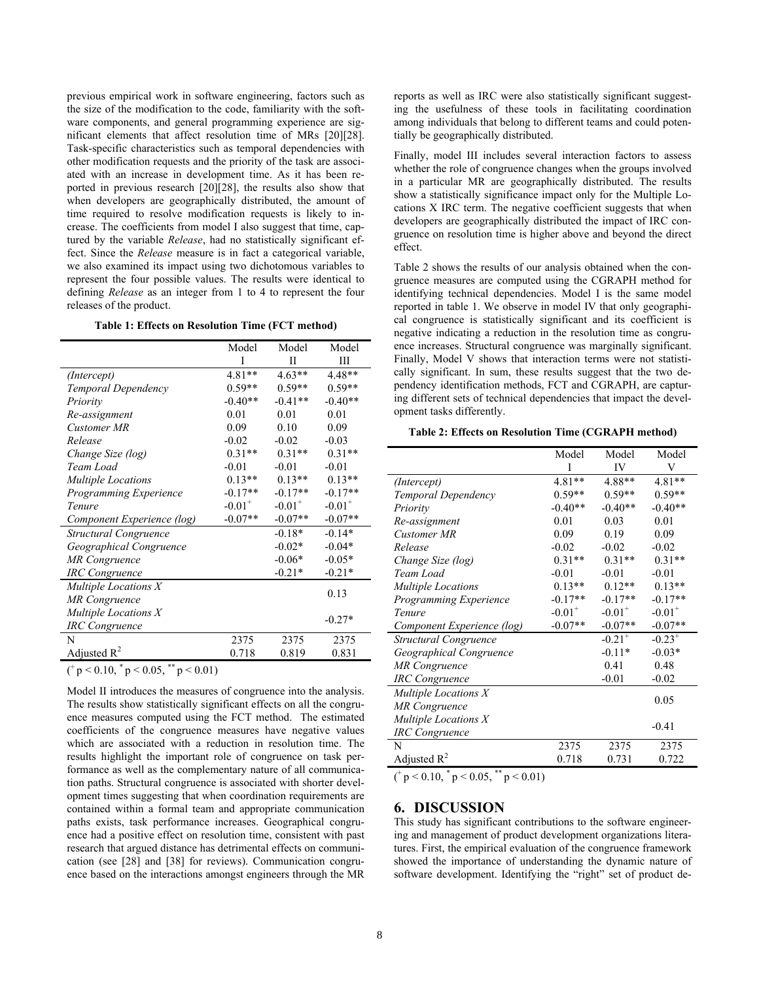previous empirical work in software engineering, factors such as the size of the modification to the code, familiarity with the software components, and general programming experience are significant elements that affect resolution time of MRs [20][28]. Task-specific characteristics such as temporal dependencies with other modification requests and the priority of the task are associated with an increase in development time. As it has been reported in previous research [20][28], the results also show that when developers are geographically distributed, the amount of time required to resolve modification requests is likely to increase. The coefficients from model I also suggest that time, captured by the variable *Release*, had no statistically significant effect. Since the *Release* measure is in fact a categorical variable, we also examined its impact using two dichotomous variables to represent the four possible values. The results were identical to defining *Release* as an integer from 1 to 4 to represent the four releases of the product.

| Table 1: Effects on Resolution Time (FCT method) |  |  |  |
|--------------------------------------------------|--|--|--|
|--------------------------------------------------|--|--|--|

|                                                                    | Model                | Model                | Model                |
|--------------------------------------------------------------------|----------------------|----------------------|----------------------|
|                                                                    | I                    | $\mathbf{I}$         | Ш                    |
| (Intercept)                                                        | $4.81**$             | $4.63**$             | 4.48**               |
| Temporal Dependency                                                | $0.59**$             | $0.59**$             | $0.59**$             |
| Priority                                                           | $-0.40**$            | $-0.41**$            | $-0.40**$            |
| Re-assignment                                                      | 0.01                 | 0.01                 | 0.01                 |
| Customer MR                                                        | 0.09                 | 0.10                 | 0.09                 |
| Release                                                            | $-0.02$              | $-0.02$              | $-0.03$              |
| Change Size (log)                                                  | $0.31**$             | $0.31**$             | $0.31**$             |
| Team Load                                                          | $-0.01$              | $-0.01$              | $-0.01$              |
| <b>Multiple Locations</b>                                          | $0.13**$             | $0.13**$             | $0.13**$             |
| Programming Experience                                             | $-0.17**$            | $-0.17**$            | $-0.17**$            |
| Tenure                                                             | $-0.01$ <sup>+</sup> | $-0.01$ <sup>+</sup> | $-0.01$ <sup>+</sup> |
| Component Experience (log)                                         | $-0.07**$            | $-0.07**$            | $-0.07**$            |
| Structural Congruence                                              |                      | $-0.18*$             | $-0.14*$             |
| Geographical Congruence                                            |                      | $-0.02*$             | $-0.04*$             |
| <b>MR</b> Congruence                                               |                      | $-0.06*$             | $-0.05*$             |
| IRC Congruence                                                     |                      | $-0.21*$             | $-0.21*$             |
| Multiple Locations X                                               |                      |                      |                      |
| MR Congruence                                                      |                      |                      | 0.13                 |
| Multiple Locations X                                               |                      |                      |                      |
| <b>IRC</b> Congruence                                              |                      |                      | $-0.27*$             |
| N                                                                  | 2375                 | 2375                 | 2375                 |
| Adjusted $R^2$                                                     | 0.718                | 0.819                | 0.831                |
| **<br>$\sim$ 10 <sup>*</sup><br>$+$<br>$\sim$ $\sim$ $\sim$ $\sim$ |                      |                      |                      |

 $({}^+p < 0.10, {}^*p < 0.05, {}^{**}p < 0.01)$ 

Model II introduces the measures of congruence into the analysis. The results show statistically significant effects on all the congruence measures computed using the FCT method. The estimated coefficients of the congruence measures have negative values which are associated with a reduction in resolution time. The results highlight the important role of congruence on task performance as well as the complementary nature of all communication paths. Structural congruence is associated with shorter development times suggesting that when coordination requirements are contained within a formal team and appropriate communication paths exists, task performance increases. Geographical congruence had a positive effect on resolution time, consistent with past research that argued distance has detrimental effects on communication (see [28] and [38] for reviews). Communication congruence based on the interactions amongst engineers through the MR

reports as well as IRC were also statistically significant suggesting the usefulness of these tools in facilitating coordination among individuals that belong to different teams and could potentially be geographically distributed.

Finally, model III includes several interaction factors to assess whether the role of congruence changes when the groups involved in a particular MR are geographically distributed. The results show a statistically significance impact only for the Multiple Locations X IRC term. The negative coefficient suggests that when developers are geographically distributed the impact of IRC congruence on resolution time is higher above and beyond the direct effect.

Table 2 shows the results of our analysis obtained when the congruence measures are computed using the CGRAPH method for identifying technical dependencies. Model I is the same model reported in table 1. We observe in model IV that only geographical congruence is statistically significant and its coefficient is negative indicating a reduction in the resolution time as congruence increases. Structural congruence was marginally significant. Finally, Model V shows that interaction terms were not statistically significant. In sum, these results suggest that the two dependency identification methods, FCT and CGRAPH, are capturing different sets of technical dependencies that impact the development tasks differently.

**Table 2: Effects on Resolution Time (CGRAPH method)** 

|                            | Model                | Model                | Model                |
|----------------------------|----------------------|----------------------|----------------------|
|                            | I                    | IV                   | V                    |
| (Intercept)                | $4.81**$             | 4.88**               | $4.81**$             |
| Temporal Dependency        | $0.59**$             | $0.59**$             | $0.59**$             |
| Priority                   | $-0.40**$            | $-0.40**$            | $-0.40**$            |
| Re-assignment              | 0.01                 | 0.03                 | 0.01                 |
| <b>Customer MR</b>         | 0.09                 | 0.19                 | 0.09                 |
| Release                    | $-0.02$              | $-0.02$              | $-0.02$              |
| Change Size (log)          | $0.31**$             | $0.31**$             | $0.31**$             |
| Team Load                  | $-0.01$              | $-0.01$              | $-0.01$              |
| Multiple Locations         | $0.13**$             | $0.12**$             | $0.13**$             |
| Programming Experience     | $-0.17**$            | $-0.17**$            | $-0.17**$            |
| Tenure                     | $-0.01$ <sup>+</sup> | $-0.01$ <sup>+</sup> | $-0.01$ <sup>+</sup> |
| Component Experience (log) | $-0.07**$            | $-0.07**$            | $-0.07**$            |
| Structural Congruence      |                      | $-0.21$ <sup>+</sup> | $-0.23$ <sup>+</sup> |
| Geographical Congruence    |                      | $-0.11*$             | $-0.03*$             |
| <b>MR</b> Congruence       |                      | 0.41                 | 0.48                 |
| <b>IRC</b> Congruence      |                      | $-0.01$              | $-0.02$              |
| Multiple Locations $X$     |                      |                      |                      |
| <b>MR</b> Congruence       |                      |                      | 0.05                 |
| Multiple Locations $X$     |                      |                      |                      |
| <b>IRC</b> Congruence      |                      |                      | $-0.41$              |
| N                          | 2375                 | 2375                 | 2375                 |
| Adjusted $R^2$             | 0.718                | 0.731                | 0.722                |

 $({}^+p < 0.10, {}^*p < 0.05, {}^{**}p < 0.01)$ 

# **6. DISCUSSION**

This study has significant contributions to the software engineering and management of product development organizations literatures. First, the empirical evaluation of the congruence framework showed the importance of understanding the dynamic nature of software development. Identifying the "right" set of product de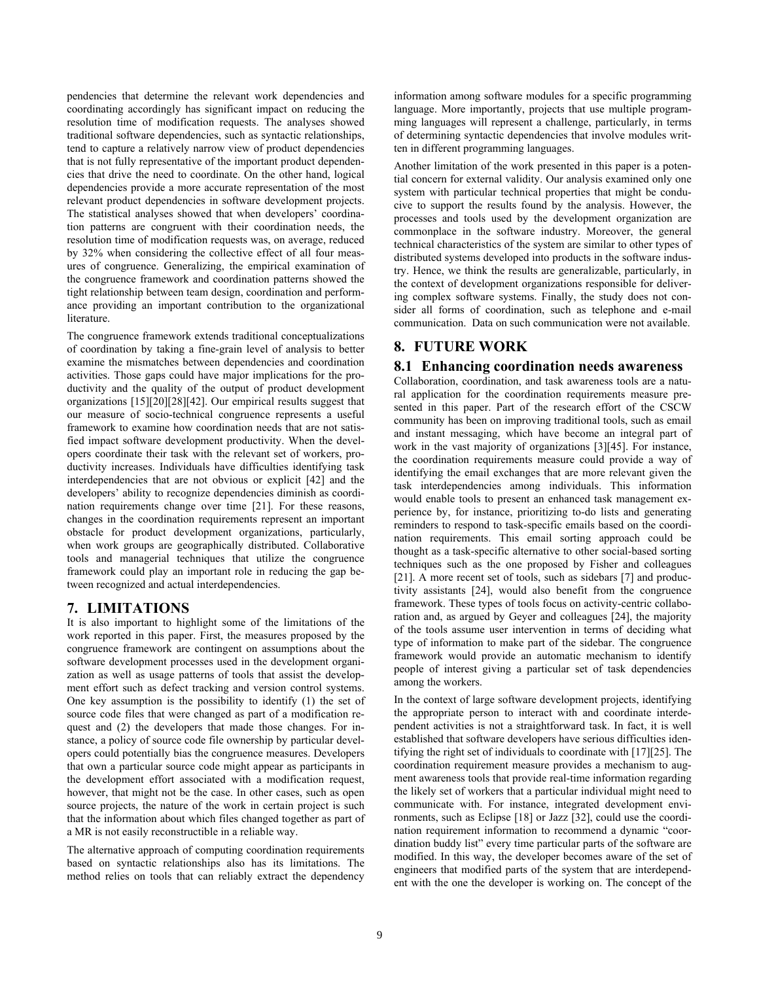pendencies that determine the relevant work dependencies and coordinating accordingly has significant impact on reducing the resolution time of modification requests. The analyses showed traditional software dependencies, such as syntactic relationships, tend to capture a relatively narrow view of product dependencies that is not fully representative of the important product dependencies that drive the need to coordinate. On the other hand, logical dependencies provide a more accurate representation of the most relevant product dependencies in software development projects. The statistical analyses showed that when developers' coordination patterns are congruent with their coordination needs, the resolution time of modification requests was, on average, reduced by 32% when considering the collective effect of all four measures of congruence. Generalizing, the empirical examination of the congruence framework and coordination patterns showed the tight relationship between team design, coordination and performance providing an important contribution to the organizational literature.

The congruence framework extends traditional conceptualizations of coordination by taking a fine-grain level of analysis to better examine the mismatches between dependencies and coordination activities. Those gaps could have major implications for the productivity and the quality of the output of product development organizations [15][20][28][42]. Our empirical results suggest that our measure of socio-technical congruence represents a useful framework to examine how coordination needs that are not satisfied impact software development productivity. When the developers coordinate their task with the relevant set of workers, productivity increases. Individuals have difficulties identifying task interdependencies that are not obvious or explicit [42] and the developers' ability to recognize dependencies diminish as coordination requirements change over time [21]. For these reasons, changes in the coordination requirements represent an important obstacle for product development organizations, particularly, when work groups are geographically distributed. Collaborative tools and managerial techniques that utilize the congruence framework could play an important role in reducing the gap between recognized and actual interdependencies.

## **7. LIMITATIONS**

It is also important to highlight some of the limitations of the work reported in this paper. First, the measures proposed by the congruence framework are contingent on assumptions about the software development processes used in the development organization as well as usage patterns of tools that assist the development effort such as defect tracking and version control systems. One key assumption is the possibility to identify (1) the set of source code files that were changed as part of a modification request and (2) the developers that made those changes. For instance, a policy of source code file ownership by particular developers could potentially bias the congruence measures. Developers that own a particular source code might appear as participants in the development effort associated with a modification request, however, that might not be the case. In other cases, such as open source projects, the nature of the work in certain project is such that the information about which files changed together as part of a MR is not easily reconstructible in a reliable way.

The alternative approach of computing coordination requirements based on syntactic relationships also has its limitations. The method relies on tools that can reliably extract the dependency

information among software modules for a specific programming language. More importantly, projects that use multiple programming languages will represent a challenge, particularly, in terms of determining syntactic dependencies that involve modules written in different programming languages.

Another limitation of the work presented in this paper is a potential concern for external validity. Our analysis examined only one system with particular technical properties that might be conducive to support the results found by the analysis. However, the processes and tools used by the development organization are commonplace in the software industry. Moreover, the general technical characteristics of the system are similar to other types of distributed systems developed into products in the software industry. Hence, we think the results are generalizable, particularly, in the context of development organizations responsible for delivering complex software systems. Finally, the study does not consider all forms of coordination, such as telephone and e-mail communication. Data on such communication were not available.

# **8. FUTURE WORK**

## **8.1 Enhancing coordination needs awareness**

Collaboration, coordination, and task awareness tools are a natural application for the coordination requirements measure presented in this paper. Part of the research effort of the CSCW community has been on improving traditional tools, such as email and instant messaging, which have become an integral part of work in the vast majority of organizations [3][45]. For instance, the coordination requirements measure could provide a way of identifying the email exchanges that are more relevant given the task interdependencies among individuals. This information would enable tools to present an enhanced task management experience by, for instance, prioritizing to-do lists and generating reminders to respond to task-specific emails based on the coordination requirements. This email sorting approach could be thought as a task-specific alternative to other social-based sorting techniques such as the one proposed by Fisher and colleagues [21]. A more recent set of tools, such as sidebars [7] and productivity assistants [24], would also benefit from the congruence framework. These types of tools focus on activity-centric collaboration and, as argued by Geyer and colleagues [24], the majority of the tools assume user intervention in terms of deciding what type of information to make part of the sidebar. The congruence framework would provide an automatic mechanism to identify people of interest giving a particular set of task dependencies among the workers.

In the context of large software development projects, identifying the appropriate person to interact with and coordinate interdependent activities is not a straightforward task. In fact, it is well established that software developers have serious difficulties identifying the right set of individuals to coordinate with [17][25]. The coordination requirement measure provides a mechanism to augment awareness tools that provide real-time information regarding the likely set of workers that a particular individual might need to communicate with. For instance, integrated development environments, such as Eclipse [18] or Jazz [32], could use the coordination requirement information to recommend a dynamic "coordination buddy list" every time particular parts of the software are modified. In this way, the developer becomes aware of the set of engineers that modified parts of the system that are interdependent with the one the developer is working on. The concept of the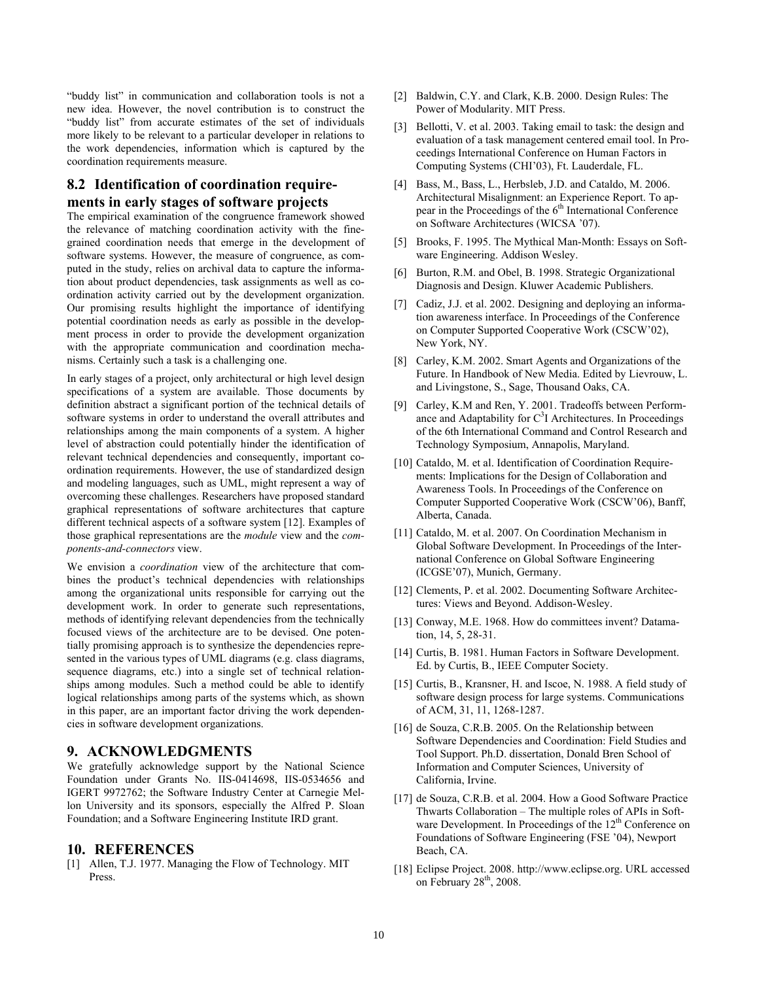"buddy list" in communication and collaboration tools is not a new idea. However, the novel contribution is to construct the "buddy list" from accurate estimates of the set of individuals more likely to be relevant to a particular developer in relations to the work dependencies, information which is captured by the coordination requirements measure.

# **8.2 Identification of coordination requirements in early stages of software projects**

The empirical examination of the congruence framework showed the relevance of matching coordination activity with the finegrained coordination needs that emerge in the development of software systems. However, the measure of congruence, as computed in the study, relies on archival data to capture the information about product dependencies, task assignments as well as coordination activity carried out by the development organization. Our promising results highlight the importance of identifying potential coordination needs as early as possible in the development process in order to provide the development organization with the appropriate communication and coordination mechanisms. Certainly such a task is a challenging one.

In early stages of a project, only architectural or high level design specifications of a system are available. Those documents by definition abstract a significant portion of the technical details of software systems in order to understand the overall attributes and relationships among the main components of a system. A higher level of abstraction could potentially hinder the identification of relevant technical dependencies and consequently, important coordination requirements. However, the use of standardized design and modeling languages, such as UML, might represent a way of overcoming these challenges. Researchers have proposed standard graphical representations of software architectures that capture different technical aspects of a software system [12]. Examples of those graphical representations are the *module* view and the *components-and-connectors* view.

We envision a *coordination* view of the architecture that combines the product's technical dependencies with relationships among the organizational units responsible for carrying out the development work. In order to generate such representations, methods of identifying relevant dependencies from the technically focused views of the architecture are to be devised. One potentially promising approach is to synthesize the dependencies represented in the various types of UML diagrams (e.g. class diagrams, sequence diagrams, etc.) into a single set of technical relationships among modules. Such a method could be able to identify logical relationships among parts of the systems which, as shown in this paper, are an important factor driving the work dependencies in software development organizations.

## **9. ACKNOWLEDGMENTS**

We gratefully acknowledge support by the National Science Foundation under Grants No. IIS-0414698, IIS-0534656 and IGERT 9972762; the Software Industry Center at Carnegie Mellon University and its sponsors, especially the Alfred P. Sloan Foundation; and a Software Engineering Institute IRD grant.

## **10. REFERENCES**

[1] Allen, T.J. 1977. Managing the Flow of Technology. MIT Press.

- [2] Baldwin, C.Y. and Clark, K.B. 2000. Design Rules: The Power of Modularity. MIT Press.
- [3] Bellotti, V. et al. 2003. Taking email to task: the design and evaluation of a task management centered email tool. In Proceedings International Conference on Human Factors in Computing Systems (CHI'03), Ft. Lauderdale, FL.
- [4] Bass, M., Bass, L., Herbsleb, J.D. and Cataldo, M. 2006. Architectural Misalignment: an Experience Report. To appear in the Proceedings of the 6<sup>th</sup> International Conference on Software Architectures (WICSA '07).
- [5] Brooks, F. 1995. The Mythical Man-Month: Essays on Software Engineering. Addison Wesley.
- [6] Burton, R.M. and Obel, B. 1998. Strategic Organizational Diagnosis and Design. Kluwer Academic Publishers.
- [7] Cadiz, J.J. et al. 2002. Designing and deploying an information awareness interface. In Proceedings of the Conference on Computer Supported Cooperative Work (CSCW'02), New York, NY.
- [8] Carley, K.M. 2002. Smart Agents and Organizations of the Future. In Handbook of New Media. Edited by Lievrouw, L. and Livingstone, S., Sage, Thousand Oaks, CA.
- [9] Carley, K.M and Ren, Y. 2001. Tradeoffs between Performance and Adaptability for  $C<sup>3</sup>I$  Architectures. In Proceedings of the 6th International Command and Control Research and Technology Symposium, Annapolis, Maryland.
- [10] Cataldo, M. et al. Identification of Coordination Requirements: Implications for the Design of Collaboration and Awareness Tools. In Proceedings of the Conference on Computer Supported Cooperative Work (CSCW'06), Banff, Alberta, Canada.
- [11] Cataldo, M. et al. 2007. On Coordination Mechanism in Global Software Development. In Proceedings of the International Conference on Global Software Engineering (ICGSE'07), Munich, Germany.
- [12] Clements, P. et al. 2002. Documenting Software Architectures: Views and Beyond. Addison-Wesley.
- [13] Conway, M.E. 1968. How do committees invent? Datamation, 14, 5, 28-31.
- [14] Curtis, B. 1981. Human Factors in Software Development. Ed. by Curtis, B., IEEE Computer Society.
- [15] Curtis, B., Kransner, H. and Iscoe, N. 1988. A field study of software design process for large systems. Communications of ACM, 31, 11, 1268-1287.
- [16] de Souza, C.R.B. 2005. On the Relationship between Software Dependencies and Coordination: Field Studies and Tool Support. Ph.D. dissertation, Donald Bren School of Information and Computer Sciences, University of California, Irvine.
- [17] de Souza, C.R.B. et al. 2004. How a Good Software Practice Thwarts Collaboration – The multiple roles of APIs in Software Development. In Proceedings of the 12<sup>th</sup> Conference on Foundations of Software Engineering (FSE '04), Newport Beach, CA.
- [18] Eclipse Project. 2008. http://www.eclipse.org. URL accessed on February  $28<sup>th</sup>$ , 2008.